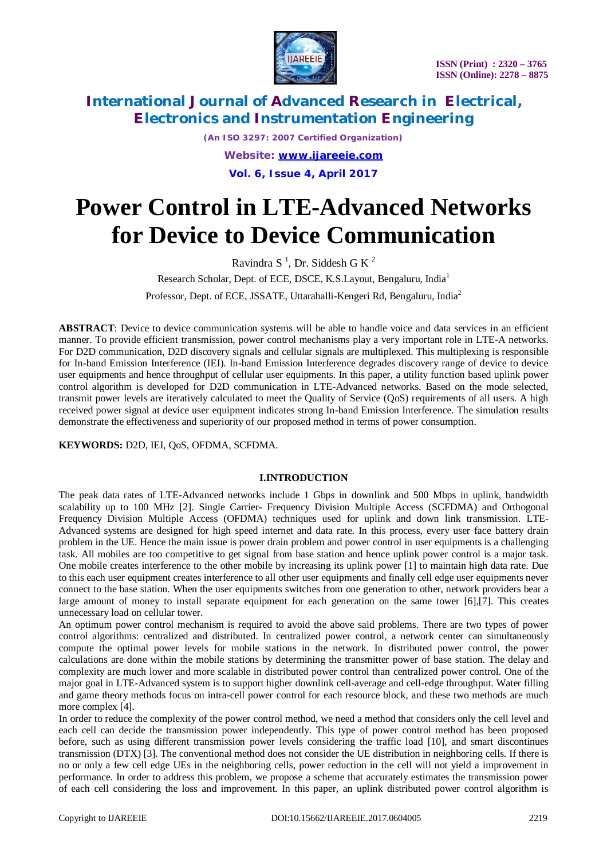

*(An ISO 3297: 2007 Certified Organization) Website: [www.ijareeie.com](http://www.ijareeie.com)* **Vol. 6, Issue 4, April 2017**

# **Power Control in LTE-Advanced Networks for Device to Device Communication**

Ravindra S<sup>1</sup>, Dr. Siddesh G K<sup>2</sup> Research Scholar, Dept. of ECE, DSCE, K.S.Layout, Bengaluru, India<sup>1</sup> Professor, Dept. of ECE, JSSATE, Uttarahalli-Kengeri Rd, Bengaluru, India<sup>2</sup>

**ABSTRACT**: Device to device communication systems will be able to handle voice and data services in an efficient manner. To provide efficient transmission, power control mechanisms play a very important role in LTE-A networks. For D2D communication, D2D discovery signals and cellular signals are multiplexed. This multiplexing is responsible for In-band Emission Interference (IEI). In-band Emission Interference degrades discovery range of device to device user equipments and hence throughput of cellular user equipments. In this paper, a utility function based uplink power control algorithm is developed for D2D communication in LTE-Advanced networks. Based on the mode selected, transmit power levels are iteratively calculated to meet the Quality of Service (QoS) requirements of all users. A high received power signal at device user equipment indicates strong In-band Emission Interference. The simulation results demonstrate the effectiveness and superiority of our proposed method in terms of power consumption.

**KEYWORDS:** D2D, IEI, QoS, OFDMA, SCFDMA.

### **I.INTRODUCTION**

The peak data rates of LTE-Advanced networks include 1 Gbps in downlink and 500 Mbps in uplink, bandwidth scalability up to 100 MHz [2]. Single Carrier- Frequency Division Multiple Access (SCFDMA) and Orthogonal Frequency Division Multiple Access (OFDMA) techniques used for uplink and down link transmission. LTE-Advanced systems are designed for high speed internet and data rate. In this process, every user face battery drain problem in the UE. Hence the main issue is power drain problem and power control in user equipments is a challenging task. All mobiles are too competitive to get signal from base station and hence uplink power control is a major task. One mobile creates interference to the other mobile by increasing its uplink power [1] to maintain high data rate. Due to this each user equipment creates interference to all other user equipments and finally cell edge user equipments never connect to the base station. When the user equipments switches from one generation to other, network providers bear a large amount of money to install separate equipment for each generation on the same tower [6],[7]. This creates unnecessary load on cellular tower.

An optimum power control mechanism is required to avoid the above said problems. There are two types of power control algorithms: centralized and distributed. In centralized power control, a network center can simultaneously compute the optimal power levels for mobile stations in the network. In distributed power control, the power calculations are done within the mobile stations by determining the transmitter power of base station. The delay and complexity are much lower and more scalable in distributed power control than centralized power control. One of the major goal in LTE-Advanced system is to support higher downlink cell-average and cell-edge throughput. Water filling and game theory methods focus on intra-cell power control for each resource block, and these two methods are much more complex [4].

In order to reduce the complexity of the power control method, we need a method that considers only the cell level and each cell can decide the transmission power independently. This type of power control method has been proposed before, such as using different transmission power levels considering the traffic load [10], and smart discontinues transmission (DTX) [3]. The conventional method does not consider the UE distribution in neighboring cells. If there is no or only a few cell edge UEs in the neighboring cells, power reduction in the cell will not yield a improvement in performance. In order to address this problem, we propose a scheme that accurately estimates the transmission power of each cell considering the loss and improvement. In this paper, an uplink distributed power control algorithm is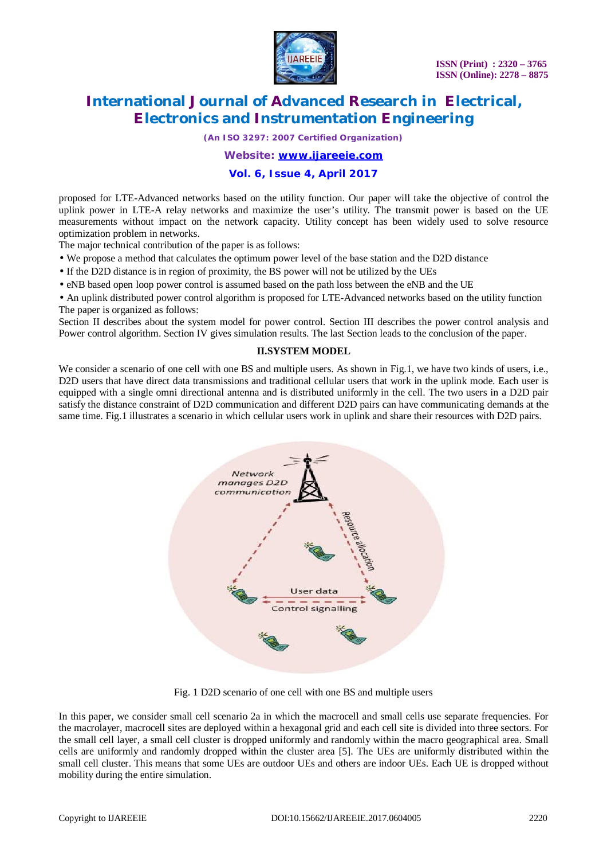

*(An ISO 3297: 2007 Certified Organization)*

*Website: [www.ijareeie.com](http://www.ijareeie.com)*

### **Vol. 6, Issue 4, April 2017**

proposed for LTE-Advanced networks based on the utility function. Our paper will take the objective of control the uplink power in LTE-A relay networks and maximize the user's utility. The transmit power is based on the UE measurements without impact on the network capacity. Utility concept has been widely used to solve resource optimization problem in networks.

The major technical contribution of the paper is as follows:

- We propose a method that calculates the optimum power level of the base station and the D2D distance
- If the D2D distance is in region of proximity, the BS power will not be utilized by the UEs
- eNB based open loop power control is assumed based on the path loss between the eNB and the UE

• An uplink distributed power control algorithm is proposed for LTE-Advanced networks based on the utility function The paper is organized as follows:

Section II describes about the system model for power control. Section III describes the power control analysis and Power control algorithm. Section IV gives simulation results. The last Section leads to the conclusion of the paper.

#### **II.SYSTEM MODEL**

We consider a scenario of one cell with one BS and multiple users. As shown in Fig.1, we have two kinds of users, i.e., D2D users that have direct data transmissions and traditional cellular users that work in the uplink mode. Each user is equipped with a single omni directional antenna and is distributed uniformly in the cell. The two users in a D2D pair satisfy the distance constraint of D2D communication and different D2D pairs can have communicating demands at the same time. Fig.1 illustrates a scenario in which cellular users work in uplink and share their resources with D2D pairs.



Fig. 1 D2D scenario of one cell with one BS and multiple users

In this paper, we consider small cell scenario 2a in which the macrocell and small cells use separate frequencies. For the macrolayer, macrocell sites are deployed within a hexagonal grid and each cell site is divided into three sectors. For the small cell layer, a small cell cluster is dropped uniformly and randomly within the macro geographical area. Small cells are uniformly and randomly dropped within the cluster area [5]. The UEs are uniformly distributed within the small cell cluster. This means that some UEs are outdoor UEs and others are indoor UEs. Each UE is dropped without mobility during the entire simulation.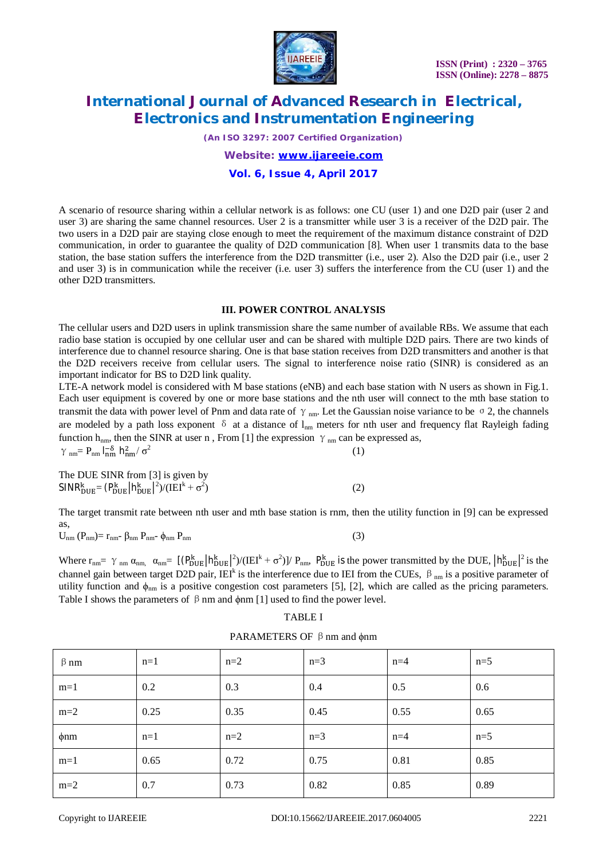

*(An ISO 3297: 2007 Certified Organization)*

*Website: [www.ijareeie.com](http://www.ijareeie.com)*

### **Vol. 6, Issue 4, April 2017**

A scenario of resource sharing within a cellular network is as follows: one CU (user 1) and one D2D pair (user 2 and user 3) are sharing the same channel resources. User 2 is a transmitter while user 3 is a receiver of the D2D pair. The two users in a D2D pair are staying close enough to meet the requirement of the maximum distance constraint of D2D communication, in order to guarantee the quality of D2D communication [8]. When user 1 transmits data to the base station, the base station suffers the interference from the D2D transmitter (i.e., user 2). Also the D2D pair (i.e., user 2 and user 3) is in communication while the receiver (i.e. user 3) suffers the interference from the CU (user 1) and the other D2D transmitters.

#### **III. POWER CONTROL ANALYSIS**

The cellular users and D2D users in uplink transmission share the same number of available RBs. We assume that each radio base station is occupied by one cellular user and can be shared with multiple D2D pairs. There are two kinds of interference due to channel resource sharing. One is that base station receives from D2D transmitters and another is that the D2D receivers receive from cellular users. The signal to interference noise ratio (SINR) is considered as an important indicator for BS to D2D link quality.

LTE-A network model is considered with M base stations (eNB) and each base station with N users as shown in Fig.1. Each user equipment is covered by one or more base stations and the nth user will connect to the mth base station to transmit the data with power level of Pnm and data rate of  $\gamma$ <sub>nm</sub>. Let the Gaussian noise variance to be  $\sigma$  2, the channels are modeled by a path loss exponent  $\delta$  at a distance of  $l_{nm}$  meters for nth user and frequency flat Rayleigh fading function h<sub>nm</sub>, then the SINR at user n, From [1] the expression  $\gamma$ <sub>nm</sub> can be expressed as,  $γ$ <sub>nm</sub>= P<sub>nm</sub>  $l_{nm}^{-\delta}$   $h_{nm}^2 / σ^2$ (1)

The DUE SINR from [3] is given by  $SINR^k_{DUE} = (P^k_{DUE} | h^k_{DUE} |^2) / (IEI^k + \sigma^2)$  $)$  (2)

The target transmit rate between nth user and mth base station is rnm, then the utility function in [9] can be expressed as,

 $U_{nm}$  ( $P_{nm}$ )=  $r_{nm}$ -  $\beta_{nm}$   $P_{nm}$ -  $\phi_{nm}$   $P_{nm}$  (3)

Where  $r_{nm} = \gamma_{nm} \alpha_{nm} = [(\rho_{DUE}^k | h_{DUE}^k|^2)/(\text{IEI}^k + \sigma^2)]/P_{nm}$ ,  $P_{DUE}^k$  is the power transmitted by the DUE,  $|h_{DUE}^k|^2$  is the channel gain between target D2D pair, IEI<sup>k</sup> is the interference due to IEI from the CUEs,  $\beta_{nm}$  is a positive parameter of utility function and  $\phi_{nm}$  is a positive congestion cost parameters [5], [2], which are called as the pricing parameters. Table I shows the parameters of  $\beta$  nm and  $\phi$ nm [1] used to find the power level.

### TABLE I

| $\beta$ nm | $n=1$ | $n=2$ | $n=3$ | $n=4$ | $n=5$ |
|------------|-------|-------|-------|-------|-------|
| $m=1$      | 0.2   | 0.3   | 0.4   | 0.5   | 0.6   |
| $m=2$      | 0.25  | 0.35  | 0.45  | 0.55  | 0.65  |
| $\phi$ nm  | $n=1$ | $n=2$ | $n=3$ | $n=4$ | $n=5$ |
| $m=1$      | 0.65  | 0.72  | 0.75  | 0.81  | 0.85  |
| $m=2$      | 0.7   | 0.73  | 0.82  | 0.85  | 0.89  |

PARAMETERS OF β nm and φnm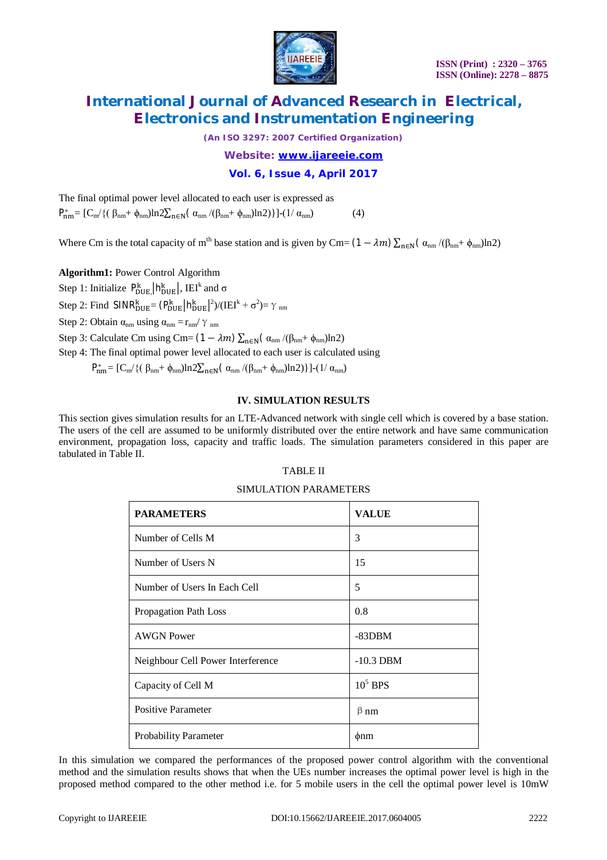

*(An ISO 3297: 2007 Certified Organization)*

*Website: [www.ijareeie.com](http://www.ijareeie.com)*

### **Vol. 6, Issue 4, April 2017**

The final optimal power level allocated to each user is expressed as  $P_{nm}^* = [C_m / \{(\beta_{nm} + \phi_{nm})\ln 2\sum_{n \in \mathbb{N}} (\alpha_{nm} / (\beta_{nm} + \phi_{nm})\ln 2)\}](1/\alpha_{nm})$  (4)

Where Cm is the total capacity of m<sup>th</sup> base station and is given by Cm=  $(1 - \lambda m) \sum_{n \in N} (\alpha_{nm}/(\beta_{nm} + \phi_{nm})\ln 2)$ 

**Algorithm1:** Power Control Algorithm

Step 1: Initialize  $P_{\text{DUE}}^{k}$ ,  $|h_{\text{DUE}}^{k}|$ , IEI<sup>k</sup> and  $\sigma$ 

Step 2: Find  $SINR_{DUE}^{k} = (P_{DUE}^{k} | h_{DUE}^{k}|^{2})/(IEI^{k} + \sigma^{2}) = \gamma_{nm}$ 

Step 2: Obtain  $\alpha_{nm}$  using  $\alpha_{nm} = r_{nm}/\gamma_{nm}$ 

Step 3: Calculate Cm using Cm=  $(1 - \lambda m) \sum_{n \in \mathbb{N}} (\alpha_{nm} / (\beta_{nm} + \phi_{nm}) \ln 2)$ 

Step 4: The final optimal power level allocated to each user is calculated using

 $P_{nm}^* = [C_m/\{(\beta_{nm} + \phi_{nm})ln2\sum_{n \in N}(\alpha_{nm}/(\beta_{nm} + \phi_{nm})ln2)\}](1/\alpha_{nm})$ 

### **IV. SIMULATION RESULTS**

This section gives simulation results for an LTE-Advanced network with single cell which is covered by a base station. The users of the cell are assumed to be uniformly distributed over the entire network and have same communication environment, propagation loss, capacity and traffic loads. The simulation parameters considered in this paper are tabulated in Table II.

### TABLE II

### SIMULATION PARAMETERS

| <b>PARAMETERS</b>                 | <b>VALUE</b> |
|-----------------------------------|--------------|
| Number of Cells M                 | 3            |
| Number of Users N                 | 15           |
| Number of Users In Each Cell      | 5            |
| Propagation Path Loss             | 0.8          |
| <b>AWGN</b> Power                 | $-83DBM$     |
| Neighbour Cell Power Interference | $-10.3$ DBM  |
| Capacity of Cell M                | $105$ BPS    |
| <b>Positive Parameter</b>         | $\beta$ nm   |
| <b>Probability Parameter</b>      | $\phi$ nm    |

In this simulation we compared the performances of the proposed power control algorithm with the conventional method and the simulation results shows that when the UEs number increases the optimal power level is high in the proposed method compared to the other method i.e. for 5 mobile users in the cell the optimal power level is 10mW